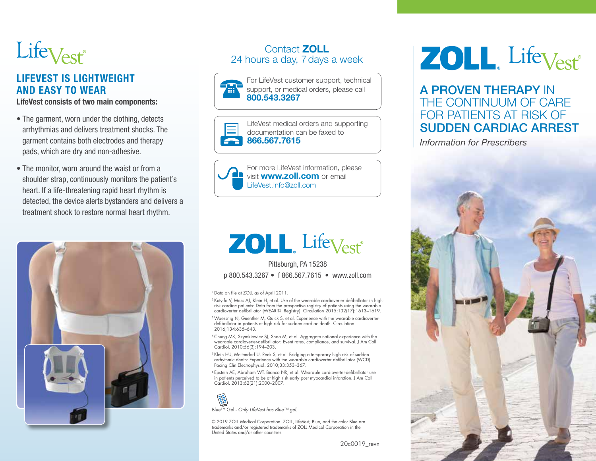

# LIFEVEST IS LIGHTWEIGHT AND EASY TO WEAR

LifeVest consists of two main components:

- The garment, worn under the clothing, detects arrhythmias and delivers treatment shocks. The garment contains both electrodes and therapy pads, which are dry and non-adhesive.
- The monitor, worn around the waist or from a shoulder strap, continuously monitors the patient's heart. If a life-threatening rapid heart rhythm is detected, the device alerts bystanders and delivers a treatment shock to restore normal heart rhythm.



# Contact ZOLL 24 hours a day, 7days a week







For more LifeVest information, please visit **www.zoll.com** or email LifeVest.Info@zoll.com

# **ZOLL**, Life<sub>Vest</sub>

Pittsburgh, PA 15238 p 800.543.3267 • f 866.567.7615 • www.zoll.com

<sup>1</sup> Data on file at ZOLL as of April 2011.

<sup>2</sup> Kutyifa V, Moss AJ, Klein H, et al. Use of the wearable cardioverter defibrillator in highrisk cardiac patients: Data from the prospective registry of patients using the wearable cardioverter defibrillator (WEARIT-II Registry). Circulation 2015;132(17):1613–1619.

3 Waessnig N, Guenther M, Quick S, et al. Experience with the wearable cardioverter-defibrillator in patients at high risk for sudden cardiac death. Circulation 2016;134:635–643.

4 Chung MK, Szymkiewicz SJ, Shao M, et al. Aggregate national experience with the wearable cardioverter-defibrillator: Event rates, compliance, and survival. J Am Coll Cardiol. 2010;56(3):194–203.

5 Klein HU, Meltendorf U, Reek S, et al. Bridging a temporary high risk of sudden arrhythmic death: Experience with the wearable cardioverter defibrillator (WCD). Pacing Clin Electrophysiol. 2010;33:353–367.

6 Epstein AE, Abraham WT, Bianco NR, et al. Wearable cardioverter-defibrillator use in patients perceived to be at high risk early post myocardial infarction. J Am Coll Cardiol. 2013;62(21):2000–2007.



© 2019 ZOLL Medical Corporation. ZOLL, LifeVest, Blue, and the color Blue are trademarks and/or registered trademarks of ZOLL Medical Corporation in the United States and/or other countries.

20c0019\_revn

# **ZOLL** Life<sub>Vest</sub>

# A PROVEN THERAPY IN THE CONTINUUM OF CARE FOR PATIENTS AT RISK OF SUDDEN CARDIAC ARREST

*Information for Prescribers*